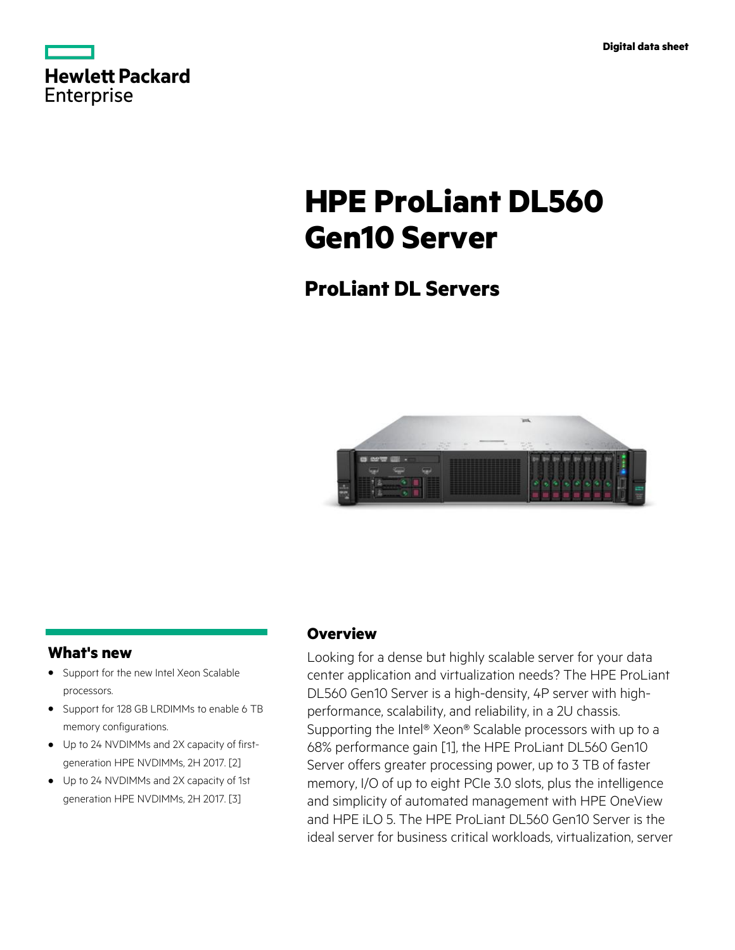|            | Hewlett Packard |
|------------|-----------------|
| Enterprise |                 |

# **HPE ProLiant DL560 Gen10 Server**

# **ProLiant DL Servers**



# **What's new**

- Support for the new Intel Xeon Scalable **·** processors.
- Support for 128 GB LRDIMMs to enable 6 TB **·** memory configurations.
- Up to 24 NVDIMMs and 2X capacity of first-**·** generation HPE NVDIMMs, 2H 2017. [2]
- Up to 24 NVDIMMs and 2X capacity of 1st **·** generation HPE NVDIMMs, 2H 2017. [3]

## **Overview**

Looking for a dense but highly scalable server for your data center application and virtualization needs? The HPE ProLiant DL560 Gen10 Server is a high-density, 4P server with highperformance, scalability, and reliability, in a 2U chassis. Supporting the Intel® Xeon® Scalable processors with up to a 68% performance gain [1], the HPE ProLiant DL560 Gen10 Server offers greater processing power, up to 3 TB of faster memory, I/O of up to eight PCIe 3.0 slots, plus the intelligence and simplicity of automated management with HPE OneView and HPE iLO 5. The HPE ProLiant DL560 Gen10 Server is the ideal server for business critical workloads, virtualization, server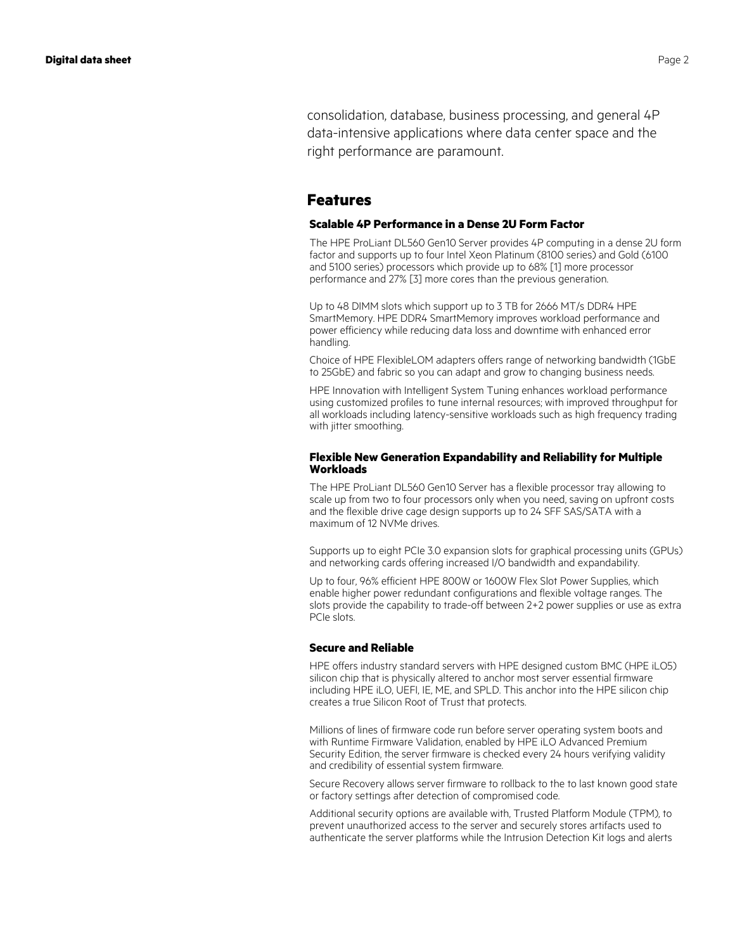consolidation, database, business processing, and general 4P data-intensive applications where data center space and the right performance are paramount.

### **Features**

#### **Scalable 4P Performance in a Dense 2U Form Factor**

The HPE ProLiant DL560 Gen10 Server provides 4P computing in a dense 2U form factor and supports up to four Intel Xeon Platinum (8100 series) and Gold (6100 and 5100 series) processors which provide up to 68% [1] more processor performance and 27% [3] more cores than the previous generation.

Up to 48 DIMM slots which support up to 3 TB for 2666 MT/s DDR4 HPE SmartMemory. HPE DDR4 SmartMemory improves workload performance and power efficiency while reducing data loss and downtime with enhanced error handling.

Choice of HPE FlexibleLOM adapters offers range of networking bandwidth (1GbE to 25GbE) and fabric so you can adapt and grow to changing business needs.

HPE Innovation with Intelligent System Tuning enhances workload performance using customized profiles to tune internal resources; with improved throughput for all workloads including latency-sensitive workloads such as high frequency trading with jitter smoothing.

#### **Flexible New Generation Expandability and Reliability for Multiple Workloads**

The HPE ProLiant DL560 Gen10 Server has a flexible processor tray allowing to scale up from two to four processors only when you need, saving on upfront costs and the flexible drive cage design supports up to 24 SFF SAS/SATA with a maximum of 12 NVMe drives.

Supports up to eight PCIe 3.0 expansion slots for graphical processing units (GPUs) and networking cards offering increased I/O bandwidth and expandability.

Up to four, 96% efficient HPE 800W or 1600W Flex Slot Power Supplies, which enable higher power redundant configurations and flexible voltage ranges. The slots provide the capability to trade-off between 2+2 power supplies or use as extra PCIe slots.

#### **Secure and Reliable**

HPE offers industry standard servers with HPE designed custom BMC (HPE iLO5) silicon chip that is physically altered to anchor most server essential firmware including HPE iLO, UEFI, IE, ME, and SPLD. This anchor into the HPE silicon chip creates a true Silicon Root of Trust that protects.

Millions of lines of firmware code run before server operating system boots and with Runtime Firmware Validation, enabled by HPE iLO Advanced Premium Security Edition, the server firmware is checked every 24 hours verifying validity and credibility of essential system firmware.

Secure Recovery allows server firmware to rollback to the to last known good state or factory settings after detection of compromised code.

Additional security options are available with, Trusted Platform Module (TPM), to prevent unauthorized access to the server and securely stores artifacts used to authenticate the server platforms while the Intrusion Detection Kit logs and alerts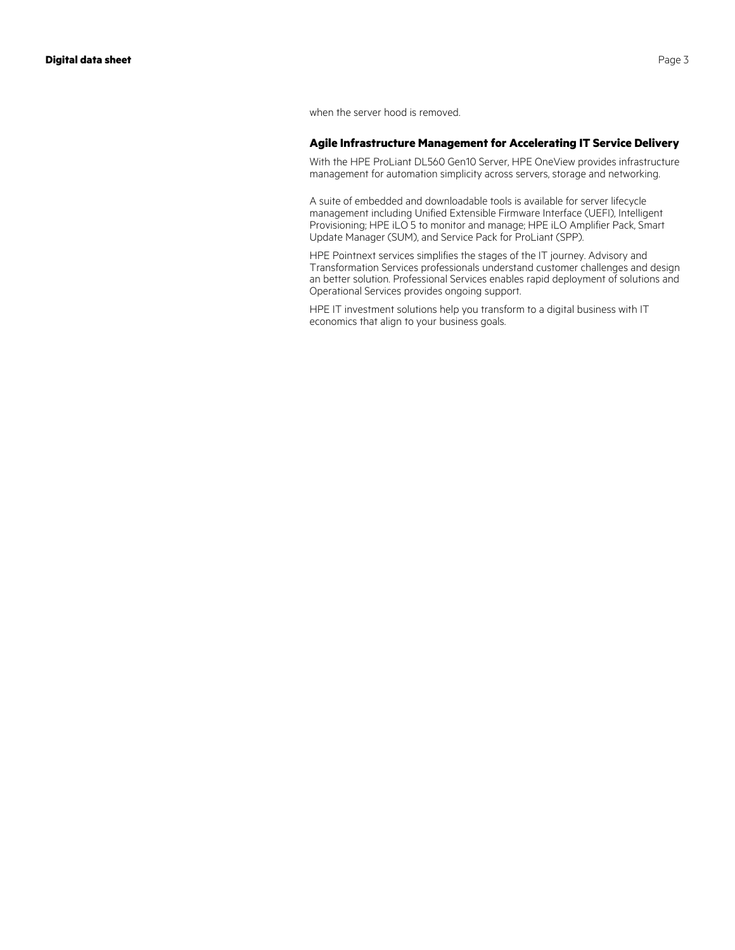when the server hood is removed.

#### **Agile Infrastructure Management for Accelerating IT Service Delivery**

With the HPE ProLiant DL560 Gen10 Server, HPE OneView provides infrastructure management for automation simplicity across servers, storage and networking.

A suite of embedded and downloadable tools is available for server lifecycle management including Unified Extensible Firmware Interface (UEFI), Intelligent Provisioning; HPE iLO 5 to monitor and manage; HPE iLO Amplifier Pack, Smart Update Manager (SUM), and Service Pack for ProLiant (SPP).

HPE Pointnext services simplifies the stages of the IT journey. Advisory and Transformation Services professionals understand customer challenges and design an better solution. Professional Services enables rapid deployment of solutions and Operational Services provides ongoing support.

HPE IT investment solutions help you transform to a digital business with IT economics that align to your business goals.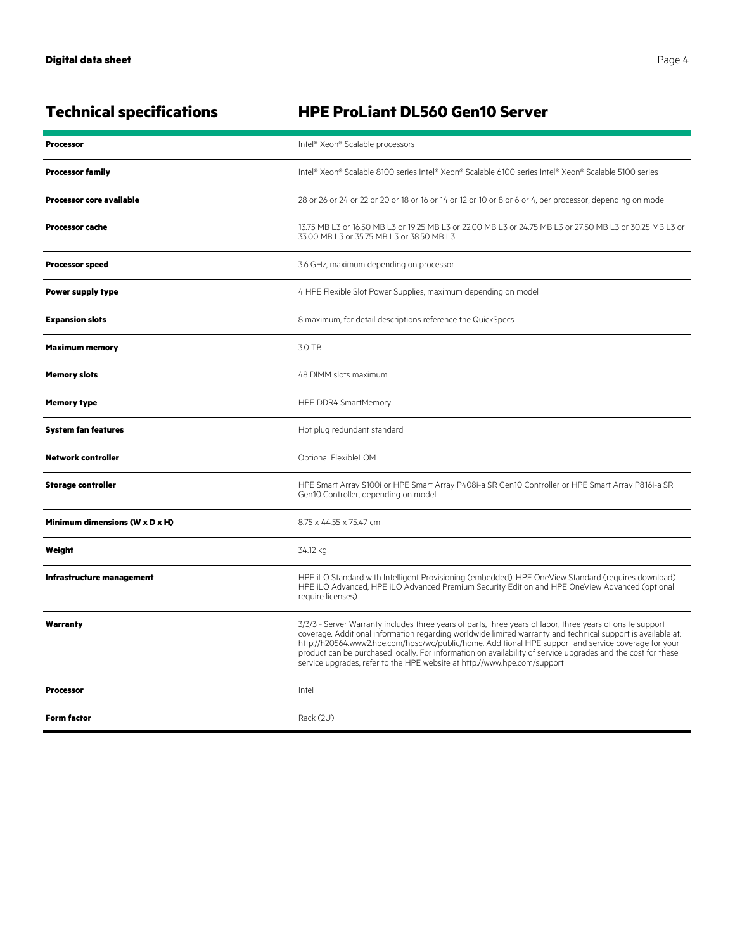| <b>Technical specifications</b> | HPE ProLiant DL560 Gen10 Server                                                                                                                                                                                                                                                                                                                                                                                                                                                                                                |
|---------------------------------|--------------------------------------------------------------------------------------------------------------------------------------------------------------------------------------------------------------------------------------------------------------------------------------------------------------------------------------------------------------------------------------------------------------------------------------------------------------------------------------------------------------------------------|
| <b>Processor</b>                | Intel® Xeon® Scalable processors                                                                                                                                                                                                                                                                                                                                                                                                                                                                                               |
| <b>Processor family</b>         | Intel® Xeon® Scalable 8100 series Intel® Xeon® Scalable 6100 series Intel® Xeon® Scalable 5100 series                                                                                                                                                                                                                                                                                                                                                                                                                          |
| <b>Processor core available</b> | 28 or 26 or 24 or 22 or 20 or 18 or 16 or 14 or 12 or 10 or 8 or 6 or 4, per processor, depending on model                                                                                                                                                                                                                                                                                                                                                                                                                     |
| <b>Processor cache</b>          | 13.75 MB L3 or 16.50 MB L3 or 19.25 MB L3 or 22.00 MB L3 or 24.75 MB L3 or 27.50 MB L3 or 30.25 MB L3 or<br>33.00 MB L3 or 35.75 MB L3 or 38.50 MB L3                                                                                                                                                                                                                                                                                                                                                                          |
| <b>Processor speed</b>          | 3.6 GHz, maximum depending on processor                                                                                                                                                                                                                                                                                                                                                                                                                                                                                        |
| Power supply type               | 4 HPE Flexible Slot Power Supplies, maximum depending on model                                                                                                                                                                                                                                                                                                                                                                                                                                                                 |
| <b>Expansion slots</b>          | 8 maximum, for detail descriptions reference the QuickSpecs                                                                                                                                                                                                                                                                                                                                                                                                                                                                    |
| <b>Maximum memory</b>           | 3.0 TB                                                                                                                                                                                                                                                                                                                                                                                                                                                                                                                         |
| <b>Memory slots</b>             | 48 DIMM slots maximum                                                                                                                                                                                                                                                                                                                                                                                                                                                                                                          |
| <b>Memory type</b>              | HPE DDR4 SmartMemory                                                                                                                                                                                                                                                                                                                                                                                                                                                                                                           |
| <b>System fan features</b>      | Hot plug redundant standard                                                                                                                                                                                                                                                                                                                                                                                                                                                                                                    |
| Network controller              | Optional FlexibleLOM                                                                                                                                                                                                                                                                                                                                                                                                                                                                                                           |
| <b>Storage controller</b>       | HPE Smart Array S100i or HPE Smart Array P408i-a SR Gen10 Controller or HPE Smart Array P816i-a SR<br>Gen10 Controller, depending on model                                                                                                                                                                                                                                                                                                                                                                                     |
| Minimum dimensions (W x D x H)  | 8.75 x 44.55 x 75.47 cm                                                                                                                                                                                                                                                                                                                                                                                                                                                                                                        |
| Weight                          | 34.12 kg                                                                                                                                                                                                                                                                                                                                                                                                                                                                                                                       |
| Infrastructure management       | HPE iLO Standard with Intelligent Provisioning (embedded), HPE OneView Standard (requires download)<br>HPE iLO Advanced, HPE iLO Advanced Premium Security Edition and HPE OneView Advanced (optional<br>require licenses)                                                                                                                                                                                                                                                                                                     |
| Warranty                        | 3/3/3 - Server Warranty includes three years of parts, three years of labor, three years of onsite support<br>coverage. Additional information regarding worldwide limited warranty and technical support is available at:<br>http://h20564.www2.hpe.com/hpsc/wc/public/home. Additional HPE support and service coverage for your<br>product can be purchased locally. For information on availability of service upgrades and the cost for these<br>service upgrades, refer to the HPE website at http://www.hpe.com/support |
| <b>Processor</b>                | Intel                                                                                                                                                                                                                                                                                                                                                                                                                                                                                                                          |
| <b>Form factor</b>              | Rack (2U)                                                                                                                                                                                                                                                                                                                                                                                                                                                                                                                      |

# **Technical specifications HPE ProLiant DL560 Gen10 Server**